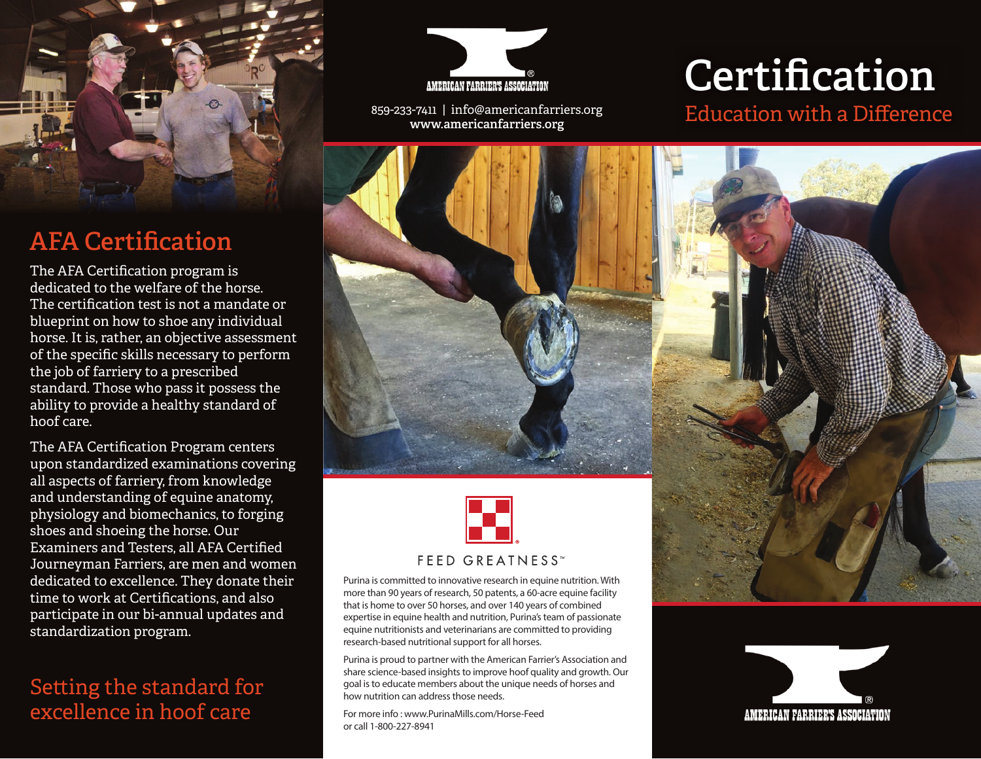

## **AFA Certification**

The AFA Certification program is dedicated to the welfare of the horse. The certification test is not a mandate or blueprint on how to shoe any individual horse. It is, rather, an objective assessment of the specific skills necessary to perform the job of farriery to a prescribed standard. Those who pass it possess the ability to provide a healthy standard of hoof care.

The AFA Certification Program centers upon standardized examinations covering all aspects of farriery, from knowledge and understanding of equine anatomy, physiology and biomechanics, to forging shoes and shoeing the horse. Our Examiners and Testers, all AFA Certified Journeyman Farriers, are men and women dedicated to excellence. They donate their time to work at Certifications, and also participate in our bi-annual updates and standardization program.

#### Setting the standard for excellence in hoof care



859-233-7411 | info@americanfarriers.org **www.americanfarriers.org**





Purina is committed to innovative research in equine nutrition. With more than 90 years of research, 50 patents, a 60-acre equine facility that is home to over 50 horses, and over 140 years of combined expertise in equine health and nutrition, Purina's team of passionate equine nutritionists and veterinarians are committed to providing research-based nutritional support for all horses.

Purina is proud to partner with the American Farrier's Association and share science-based insights to improve hoof quality and growth. Our goal is to educate members about the unique needs of horses and how nutrition can address those needs.

For more info : www.PurinaMills.com/Horse-Feed or call 1-800-227-8941

# **Certification**

#### Education with a Difference